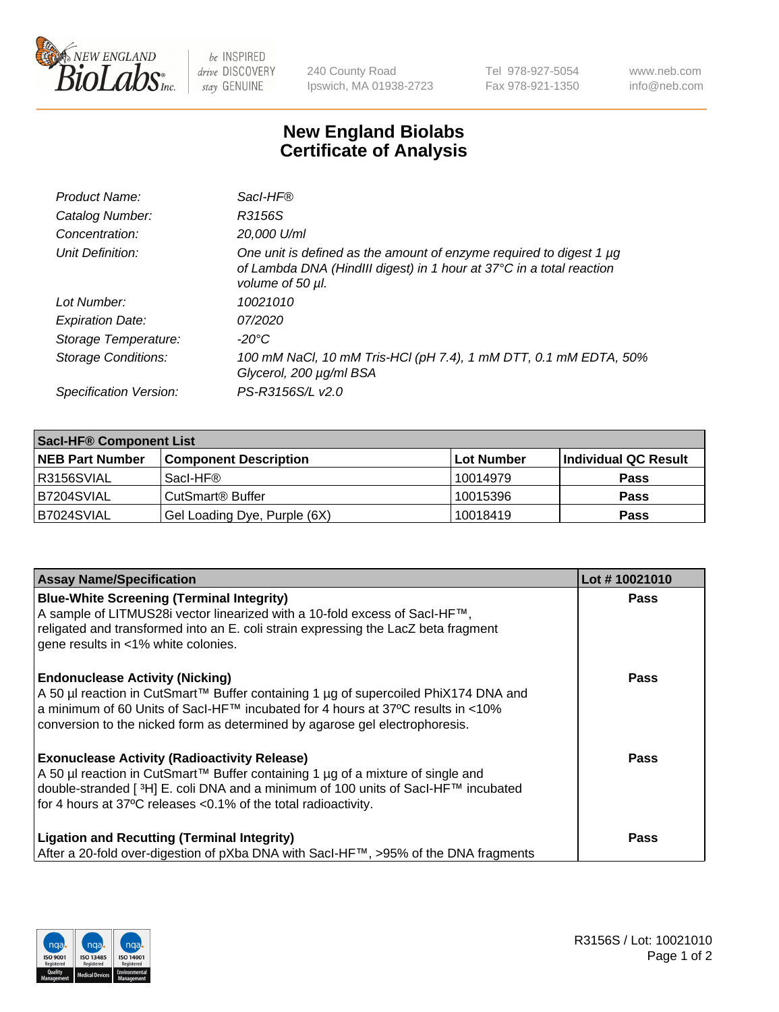

 $be$  INSPIRED drive DISCOVERY stay GENUINE

240 County Road Ipswich, MA 01938-2723 Tel 978-927-5054 Fax 978-921-1350 www.neb.com info@neb.com

## **New England Biolabs Certificate of Analysis**

| Product Name:              | Sacl-HF®                                                                                                                                                        |
|----------------------------|-----------------------------------------------------------------------------------------------------------------------------------------------------------------|
| Catalog Number:            | R3156S                                                                                                                                                          |
| Concentration:             | 20,000 U/ml                                                                                                                                                     |
| Unit Definition:           | One unit is defined as the amount of enzyme required to digest 1 µg<br>of Lambda DNA (HindIII digest) in 1 hour at 37°C in a total reaction<br>volume of 50 µl. |
| Lot Number:                | 10021010                                                                                                                                                        |
| <b>Expiration Date:</b>    | <i>07/2020</i>                                                                                                                                                  |
| Storage Temperature:       | -20°C                                                                                                                                                           |
| <b>Storage Conditions:</b> | 100 mM NaCl, 10 mM Tris-HCl (pH 7.4), 1 mM DTT, 0.1 mM EDTA, 50%<br>Glycerol, 200 µg/ml BSA                                                                     |
| Specification Version:     | PS-R3156S/L v2.0                                                                                                                                                |

| <b>Saci-HF® Component List</b> |                              |            |                      |  |  |
|--------------------------------|------------------------------|------------|----------------------|--|--|
| <b>NEB Part Number</b>         | <b>Component Description</b> | Lot Number | Individual QC Result |  |  |
| I R3156SVIAL                   | Sacl-HF®                     | 10014979   | <b>Pass</b>          |  |  |
| IB7204SVIAL                    | CutSmart <sup>®</sup> Buffer | 10015396   | <b>Pass</b>          |  |  |
| B7024SVIAL                     | Gel Loading Dye, Purple (6X) | 10018419   | <b>Pass</b>          |  |  |

| <b>Assay Name/Specification</b>                                                                                                                                                                                                                                                                            | Lot #10021010 |
|------------------------------------------------------------------------------------------------------------------------------------------------------------------------------------------------------------------------------------------------------------------------------------------------------------|---------------|
| <b>Blue-White Screening (Terminal Integrity)</b><br>A sample of LITMUS28i vector linearized with a 10-fold excess of SacI-HF™,<br>religated and transformed into an E. coli strain expressing the LacZ beta fragment<br>gene results in <1% white colonies.                                                | <b>Pass</b>   |
| <b>Endonuclease Activity (Nicking)</b><br>A 50 µl reaction in CutSmart™ Buffer containing 1 µg of supercoiled PhiX174 DNA and<br>a minimum of 60 Units of Sacl-HF™ incubated for 4 hours at 37°C results in <10%<br>conversion to the nicked form as determined by agarose gel electrophoresis.            | Pass          |
| <b>Exonuclease Activity (Radioactivity Release)</b><br>A 50 µl reaction in CutSmart™ Buffer containing 1 µg of a mixture of single and<br>double-stranded [ <sup>3</sup> H] E. coli DNA and a minimum of 100 units of Sacl-HF™ incubated<br>for 4 hours at 37°C releases <0.1% of the total radioactivity. | <b>Pass</b>   |
| <b>Ligation and Recutting (Terminal Integrity)</b><br>After a 20-fold over-digestion of pXba DNA with Sacl-HF™, >95% of the DNA fragments                                                                                                                                                                  | Pass          |